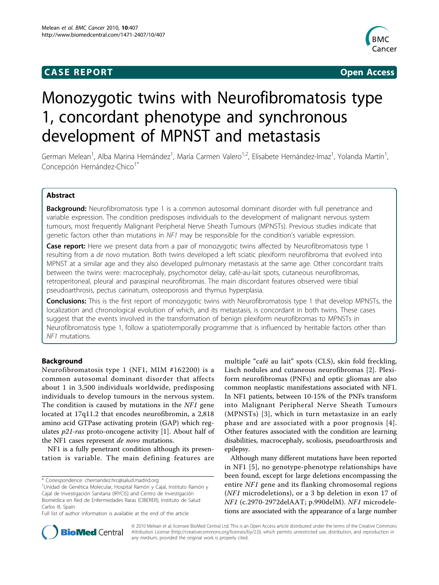## **CASE REPORT CASE REPORT CASE REPORT**



# Monozygotic twins with Neurofibromatosis type 1, concordant phenotype and synchronous development of MPNST and metastasis

German Melean<sup>1</sup>, Alba Marina Hernández<sup>1</sup>, María Carmen Valero<sup>1,2</sup>, Elisabete Hernández-Imaz<sup>1</sup>, Yolanda Martín<sup>1</sup> , Concepción Hernández-Chico<sup>1\*</sup>

## Abstract

**Background:** Neurofibromatosis type 1 is a common autosomal dominant disorder with full penetrance and variable expression. The condition predisposes individuals to the development of malignant nervous system tumours, most frequently Malignant Peripheral Nerve Sheath Tumours (MPNSTs). Previous studies indicate that genetic factors other than mutations in NF1 may be responsible for the condition's variable expression.

**Case report:** Here we present data from a pair of monozygotic twins affected by Neurofibromatosis type 1 resulting from a de novo mutation. Both twins developed a left sciatic plexiform neurofibroma that evolved into MPNST at a similar age and they also developed pulmonary metastasis at the same age. Other concordant traits between the twins were: macrocephaly, psychomotor delay, café-au-lait spots, cutaneous neurofibromas, retroperitoneal, pleural and paraspinal neurofibromas. The main discordant features observed were tibial pseudoarthrosis, pectus carinatum, osteoporosis and thymus hyperplasia.

Conclusions: This is the first report of monozygotic twins with Neurofibromatosis type 1 that develop MPNSTs, the localization and chronological evolution of which, and its metastasis, is concordant in both twins. These cases suggest that the events involved in the transformation of benign plexiform neurofibromas to MPNSTs in Neurofibromatosis type 1, follow a spatiotemporally programme that is influenced by heritable factors other than NF1 mutations.

## Background

Neurofibromatosis type 1 (NF1, MIM #162200) is a common autosomal dominant disorder that affects about 1 in 3,500 individuals worldwide, predisposing individuals to develop tumours in the nervous system. The condition is caused by mutations in the NF1 gene located at 17q11.2 that encodes neurofibromin, a 2,818 amino acid GTPase activating protein (GAP) which regulates  $p21$  $p21$ -ras proto-oncogene activity [1]. About half of the NF1 cases represent de novo mutations.

NF1 is a fully penetrant condition although its presentation is variable. The main defining features are

\* Correspondence: [chernandez.hrc@salud.madrid.org](mailto:chernandez.hrc@salud.madrid.org)

multiple "café au lait" spots (CLS), skin fold freckling, Lisch nodules and cutaneous neurofibromas [\[2](#page-3-0)]. Plexiform neurofibromas (PNFs) and optic gliomas are also common neoplastic manifestations associated with NF1. In NF1 patients, between 10-15% of the PNFs transform into Malignant Peripheral Nerve Sheath Tumours (MPNSTs) [[3](#page-3-0)], which in turn metastasize in an early phase and are associated with a poor prognosis [[4\]](#page-3-0). Other features associated with the condition are learning disabilities, macrocephaly, scoliosis, pseudoarthrosis and epilepsy.

Although many different mutations have been reported in NF1 [[5](#page-3-0)], no genotype-phenotype relationships have been found, except for large deletions encompassing the entire NF1 gene and its flanking chromosomal regions (NF1 microdeletions), or a 3 bp deletion in exon 17 of NF1 (c.2970-2972delAAT; p.990delM). NF1 microdeletions are associated with the appearance of a large number



© 2010 Melean et al; licensee BioMed Central Ltd. This is an Open Access article distributed under the terms of the Creative Commons Attribution License [\(http://creativecommons.org/licenses/by/2.0](http://creativecommons.org/licenses/by/2.0)), which permits unrestricted use, distribution, and reproduction in any medium, provided the original work is properly cited.

<sup>&</sup>lt;sup>1</sup>Unidad de Genética Molecular, Hospital Ramón y Cajal, Instituto Ramón y Cajal de Investigación Sanitaria (IRYCIS) and Centro de Investigación Biomédica en Red de Enfermedades Raras (CIBERER), Instituto de Salud Carlos III, Spain

Full list of author information is available at the end of the article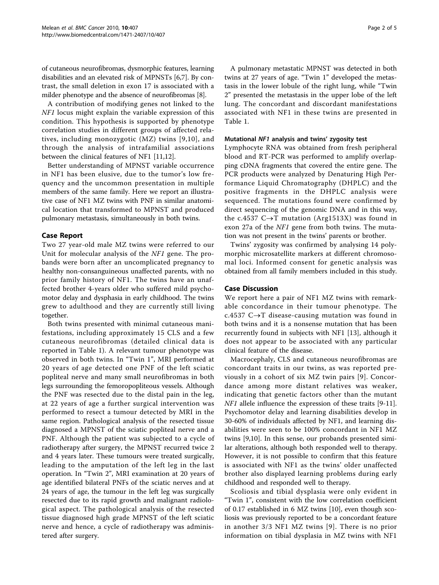of cutaneous neurofibromas, dysmorphic features, learning disabilities and an elevated risk of MPNSTs [\[6,7](#page-3-0)]. By contrast, the small deletion in exon 17 is associated with a milder phenotype and the absence of neurofibromas [\[8](#page-3-0)].

A contribution of modifying genes not linked to the NF1 locus might explain the variable expression of this condition. This hypothesis is supported by phenotype correlation studies in different groups of affected relatives, including monozygotic (MZ) twins [[9,10\]](#page-3-0), and through the analysis of intrafamilial associations between the clinical features of NF1 [[11,12](#page-3-0)].

Better understanding of MPNST variable occurrence in NF1 has been elusive, due to the tumor's low frequency and the uncommon presentation in multiple members of the same family. Here we report an illustrative case of NF1 MZ twins with PNF in similar anatomical location that transformed to MPNST and produced pulmonary metastasis, simultaneously in both twins.

## Case Report

Two 27 year-old male MZ twins were referred to our Unit for molecular analysis of the NF1 gene. The probands were born after an uncomplicated pregnancy to healthy non-consanguineous unaffected parents, with no prior family history of NF1. The twins have an unaffected brother 4-years older who suffered mild psychomotor delay and dysphasia in early childhood. The twins grew to adulthood and they are currently still living together.

Both twins presented with minimal cutaneous manifestations, including approximately 15 CLS and a few cutaneous neurofibromas (detailed clinical data is reported in Table [1\)](#page-2-0). A relevant tumour phenotype was observed in both twins. In "Twin 1", MRI performed at 20 years of age detected one PNF of the left sciatic popliteal nerve and many small neurofibromas in both legs surrounding the femoropopliteous vessels. Although the PNF was resected due to the distal pain in the leg, at 22 years of age a further surgical intervention was performed to resect a tumour detected by MRI in the same region. Pathological analysis of the resected tissue diagnosed a MPNST of the sciatic popliteal nerve and a PNF. Although the patient was subjected to a cycle of radiotherapy after surgery, the MPNST recurred twice 2 and 4 years later. These tumours were treated surgically, leading to the amputation of the left leg in the last operation. In "Twin 2", MRI examination at 20 years of age identified bilateral PNFs of the sciatic nerves and at 24 years of age, the tumour in the left leg was surgically resected due to its rapid growth and malignant radiological aspect. The pathological analysis of the resected tissue diagnosed high grade MPNST of the left sciatic nerve and hence, a cycle of radiotherapy was administered after surgery.

A pulmonary metastatic MPNST was detected in both twins at 27 years of age. "Twin 1" developed the metastasis in the lower lobule of the right lung, while "Twin 2" presented the metastasis in the upper lobe of the left lung. The concordant and discordant manifestations associated with NF1 in these twins are presented in Table [1.](#page-2-0)

## Mutational NF1 analysis and twins' zygosity test

Lymphocyte RNA was obtained from fresh peripheral blood and RT-PCR was performed to amplify overlapping cDNA fragments that covered the entire gene. The PCR products were analyzed by Denaturing High Performance Liquid Chromatography (DHPLC) and the positive fragments in the DHPLC analysis were sequenced. The mutations found were confirmed by direct sequencing of the genomic DNA and in this way, the c.4537  $C \rightarrow T$  mutation (Arg1513X) was found in exon 27a of the NF1 gene from both twins. The mutation was not present in the twins' parents or brother.

Twins' zygosity was confirmed by analysing 14 polymorphic microsatellite markers at different chromosomal loci. Informed consent for genetic analysis was obtained from all family members included in this study.

## Case Discussion

We report here a pair of NF1 MZ twins with remarkable concordance in their tumour phenotype. The c.4537  $C \rightarrow T$  disease-causing mutation was found in both twins and it is a nonsense mutation that has been recurrently found in subjects with NF1 [\[13](#page-3-0)], although it does not appear to be associated with any particular clinical feature of the disease.

Macrocephaly, CLS and cutaneous neurofibromas are concordant traits in our twins, as was reported previously in a cohort of six MZ twin pairs [\[9\]](#page-3-0). Concordance among more distant relatives was weaker, indicating that genetic factors other than the mutant *NF1* allele influence the expression of these traits [\[9-11](#page-3-0)]. Psychomotor delay and learning disabilities develop in 30-60% of individuals affected by NF1, and learning disabilities were seen to be 100% concordant in NF1 MZ twins [[9,10\]](#page-3-0). In this sense, our probands presented similar alterations, although both responded well to therapy. However, it is not possible to confirm that this feature is associated with NF1 as the twins' older unaffected brother also displayed learning problems during early childhood and responded well to therapy.

Scoliosis and tibial dysplasia were only evident in "Twin 1", consistent with the low correlation coefficient of 0.17 established in 6 MZ twins [[10](#page-3-0)], even though scoliosis was previously reported to be a concordant feature in another 3/3 NF1 MZ twins [[9](#page-3-0)]. There is no prior information on tibial dysplasia in MZ twins with NF1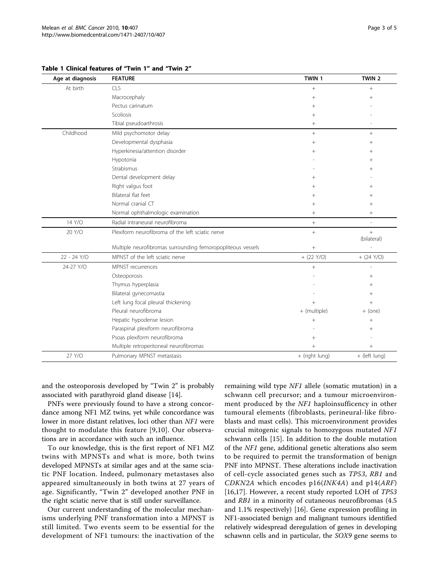| Age at diagnosis | <b>FEATURE</b>                                              | TWIN 1          | TWIN <sub>2</sub>  |
|------------------|-------------------------------------------------------------|-----------------|--------------------|
| At birth         | CLS                                                         | $+$             | $+$                |
|                  | Macrocephaly                                                | $+$             | $+$                |
|                  | Pectus carinatum                                            | $+$             |                    |
|                  | Scoliosis                                                   | $+$             |                    |
|                  | Tibial pseudoarthrosis                                      | $\! + \!\!\!\!$ |                    |
| Childhood        | Mild psychomotor delay                                      | $+$             | $^{+}$             |
|                  | Developmental dysphasia                                     | $^{+}$          | $\! + \!\!\!\!$    |
|                  | Hyperkinesia/attention disorder                             | $^{+}$          | $\! + \!\!\!\!$    |
|                  | Hypotonia                                                   |                 | $+$                |
|                  | Strabismus                                                  |                 | $^{+}$             |
|                  | Dental development delay                                    | $+$             |                    |
|                  | Right valgus foot                                           | $^{+}$          | $^{+}$             |
|                  | Bilateral flat feet                                         | $^{+}$          | $^{+}$             |
|                  | Normal cranial CT                                           | $^{+}$          | $+$                |
|                  | Normal ophthalmologic examination                           |                 | $+$                |
| 14 Y/O           | Radial intraneural neurofibroma                             | $+$             | ÷,                 |
| 20 Y/O           | Plexiform neurofibroma of the left sciatic nerve            | $+$             | $+$<br>(bilateral) |
|                  | Multiple neurofibromas surrounding femoropopliteous vessels | $\! + \!\!\!\!$ |                    |
| 22 - 24 Y/O      | MPNST of the left sciatic nerve                             | $+$ (22 Y/O)    | $+ (24 Y/O)$       |
| 24-27 Y/O        | MPNST recurrences                                           | $^{+}$          |                    |
|                  | Osteoporosis                                                |                 | $+$                |
|                  | Thymus hyperplasia                                          |                 | $+$                |
|                  | Bilateral gynecomastia                                      |                 | $^{+}$             |
|                  | Left lung focal pleural thickening                          | $+$             | $+$                |
|                  | Pleural neurofibroma                                        | + (multiple)    | $+$ (one)          |
|                  | Hepatic hypodense lesion                                    | $^{+}$          | $^{+}$             |
|                  | Paraspinal plexiform neurofibroma                           |                 | $^+$               |
|                  | Psoas plexiform neurofibroma                                | $+$             |                    |
|                  | Multiple retroperitoneal neurofibromas                      | $^{+}$          | $\! + \!\!\!\!$    |
| 27 Y/O           | Pulmonary MPNST metastasis                                  | + (right lung)  | + (left lung)      |

<span id="page-2-0"></span>Table 1 Clinical features of "Twin 1" and "Twin 2"

and the osteoporosis developed by "Twin 2" is probably associated with parathyroid gland disease [\[14](#page-3-0)].

PNFs were previously found to have a strong concordance among NF1 MZ twins, yet while concordance was lower in more distant relatives, loci other than NF1 were thought to modulate this feature [\[9](#page-3-0),[10](#page-3-0)]. Our observations are in accordance with such an influence.

To our knowledge, this is the first report of NF1 MZ twins with MPNSTs and what is more, both twins developed MPNSTs at similar ages and at the same sciatic PNF location. Indeed, pulmonary metastases also appeared simultaneously in both twins at 27 years of age. Significantly, "Twin 2" developed another PNF in the right sciatic nerve that is still under surveillance.

Our current understanding of the molecular mechanisms underlying PNF transformation into a MPNST is still limited. Two events seem to be essential for the development of NF1 tumours: the inactivation of the remaining wild type NF1 allele (somatic mutation) in a schwann cell precursor; and a tumour microenvironment produced by the NF1 haploinsufficency in other tumoural elements (fibroblasts, perineural-like fibroblasts and mast cells). This microenvironment provides crucial mitogenic signals to homozygous mutated NF1 schwann cells [[15\]](#page-3-0). In addition to the double mutation of the NF1 gene, additional genetic alterations also seem to be required to permit the transformation of benign PNF into MPNST. These alterations include inactivation of cell-cycle associated genes such as TP53, RB1 and CDKN2A which encodes  $p16$ (*INK4A*) and  $p14$ (*ARF*) [[16,17\]](#page-3-0). However, a recent study reported LOH of TP53 and RB1 in a minority of cutaneous neurofibromas (4.5 and 1.1% respectively) [[16](#page-3-0)]. Gene expression profiling in NF1-associated benign and malignant tumours identified relatively widespread deregulation of genes in developing schawnn cells and in particular, the SOX9 gene seems to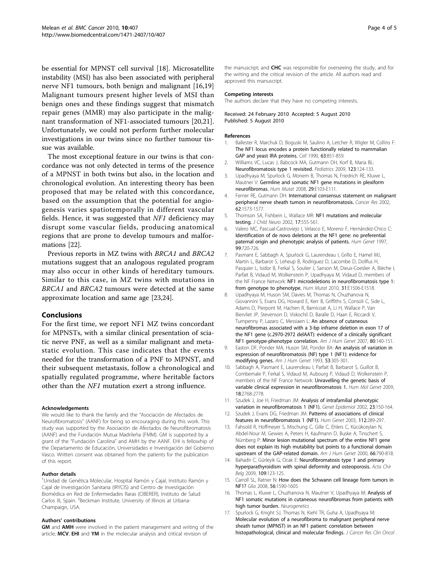<span id="page-3-0"></span>be essential for MPNST cell survival [[18](#page-4-0)]. Microsatellite instability (MSI) has also been associated with peripheral nerve NF1 tumours, both benign and malignant [16[,19](#page-4-0)] Malignant tumours present higher levels of MSI than benign ones and these findings suggest that mismatch repair genes (MMR) may also participate in the malignant transformation of NF1-associated tumours [\[20,21](#page-4-0)]. Unfortunately, we could not perform further molecular investigations in our twins since no further tumour tissue was available.

The most exceptional feature in our twins is that concordance was not only detected in terms of the presence of a MPNST in both twins but also, in the location and chronological evolution. An interesting theory has been proposed that may be related with this concordance, based on the assumption that the potential for angiogenesis varies spatiotemporally in different vascular fields. Hence, it was suggested that NF1 deficiency may disrupt some vascular fields, producing anatomical regions that are prone to develop tumours and malformations [[22](#page-4-0)].

Previous reports in MZ twins with BRCA1 and BRCA2 mutations suggest that an analogous regulated program may also occur in other kinds of hereditary tumours. Similar to this case, in MZ twins with mutations in BRCA1 and BRCA2 tumours were detected at the same approximate location and same age [[23,24](#page-4-0)].

#### Conclusions

For the first time, we report NF1 MZ twins concordant for MPNSTs, with a similar clinical presentation of sciatic nerve PNF, as well as a similar malignant and metastatic evolution. This case indicates that the events needed for the transformation of a PNF to MPNST, and their subsequent metastasis, follow a chronological and spatially regulated programme, where heritable factors other than the NF1 mutation exert a strong influence.

#### Acknowledgements

We would like to thank the family and the "Asociación de Afectados de Neurofibromatosis" (AANF) for being so encouraging during this work. This study was supported by the Asociación de Afectados de Neurofibromatosis (AANF) and the Fundación Mutua Madrileña (FMM). GM is supported by a grant of the "Fundación Carolina" and AMH by the AANF. EHI is fellowhip of the Departamento de Educación, Universidades e Investigación del Gobierno Vasco. Written consent was obtained from the patients for the publication of this report.

#### Author details

<sup>1</sup>Unidad de Genética Molecular, Hospital Ramón y Cajal, Instituto Ramón y Cajal de Investigación Sanitaria (IRYCIS) and Centro de Investigación Biomédica en Red de Enfermedades Raras (CIBERER), Instituto de Salud Carlos III, Spain. <sup>2</sup>Beckman Institute, University of Illinois at Urbana-Champaign, USA.

#### Authors' contributions

GM and AMH were involved in the patient management and writing of the article; MCV, EHI and YM in the molecular analysis and critical revision of

#### Competing interests

The authors declare that they have no competing interests.

#### Received: 24 February 2010 Accepted: 5 August 2010 Published: 5 August 2010

#### References

- 1. Ballester R, Marchuk D, Boguski M, Saulino A, Letcher R, Wigler M, Collins F: [The NF1 locus encodes a protein functionally related to mammalian](http://www.ncbi.nlm.nih.gov/pubmed/2121371?dopt=Abstract) [GAP and yeast IRA proteins.](http://www.ncbi.nlm.nih.gov/pubmed/2121371?dopt=Abstract) Cell 1990, 63:851-859.
- 2. Williams VC, Lucas J, Babcock MA, Gutmann DH, Korf B, Maria BL: [Neurofibromatosis type 1 revisited.](http://www.ncbi.nlm.nih.gov/pubmed/19117870?dopt=Abstract) Pediatrics 2009, 123:124-133.
- 3. Upadhyaya M, Spurlock G, Monem B, Thomas N, Friedrich RE, Kluwe L, Mautner V: [Germline and somatic NF1 gene mutations in plexiform](http://www.ncbi.nlm.nih.gov/pubmed/18484666?dopt=Abstract) [neurofibromas.](http://www.ncbi.nlm.nih.gov/pubmed/18484666?dopt=Abstract) Hum Mutat 2008, 29:E103-E111.
- 4. Ferner RE, Gutmann DH: [International consensus statement on malignant](http://www.ncbi.nlm.nih.gov/pubmed/11894862?dopt=Abstract) [peripheral nerve sheath tumors in neurofibromatosis.](http://www.ncbi.nlm.nih.gov/pubmed/11894862?dopt=Abstract) Cancer Res 2002, 62:1573-1577.
- 5. Thomson SA, Fishbein L, Wallace MR: NF1 mutations and molecular testing. J Child Neuro 2002, 17:555-561.
- 6. Valero MC, Pascual-Castroviejo I, Velasco E, Moreno F, Hernández-Chico C: [Identification of de novo deletions at the NF1 gene: no preferential](http://www.ncbi.nlm.nih.gov/pubmed/9187663?dopt=Abstract) [paternal origin and phenotypic analysis of patients.](http://www.ncbi.nlm.nih.gov/pubmed/9187663?dopt=Abstract) Hum Genet 1997, 99:720-726.
- 7. Pasmant E, Sabbagh A, Spurlock G, Laurendeau I, Grillo E, Hamel MJ, Martin L, Barbarot S, Leheup B, Rodriguez D, Lacombe D, Dollfus H, Pasquier L, Isidor B, Ferkal S, Soulier J, Sanson M, Dieux-Coeslier A, Bièche I, Parfait B, Vidaud M, Wolkenstein P, Upadhyaya M, Vidaud D, members of the NF France Network: [NF1 microdeletions in neurofibromatosis type 1:](http://www.ncbi.nlm.nih.gov/pubmed/20513137?dopt=Abstract) [from genotype to phenotype.](http://www.ncbi.nlm.nih.gov/pubmed/20513137?dopt=Abstract) Hum Mutat 2010, 31:E1506-E1518.
- 8. Upadhyaya M, Huson SM, Davies M, Thomas N, Chuzhanova N, Giovannini S, Evans DG, Howard E, Kerr B, Griffiths S, Consoli C, Side L, Adams D, Pierpont M, Hachen R, Barnicoat A, Li H, Wallace P, Van Biervliet JP, Stevenson D, Viskochil D, Baralle D, Haan E, Riccardi V, Turnpenny P, Lazaro C, Messiaen L: [An absence of cutaneous](http://www.ncbi.nlm.nih.gov/pubmed/17160901?dopt=Abstract) [neurofibromas associated with a 3-bp inframe deletion in exon 17 of](http://www.ncbi.nlm.nih.gov/pubmed/17160901?dopt=Abstract) [the NF1 gene \(c.2970-2972 delAAT\): evidence of a clinically significant](http://www.ncbi.nlm.nih.gov/pubmed/17160901?dopt=Abstract) [NF1 genotype-phenotype correlation.](http://www.ncbi.nlm.nih.gov/pubmed/17160901?dopt=Abstract) Am J Hum Genet 2007, 80:140-151.
- 9. Easton DF, Ponder MA, Huson SM, Ponder BA: [An analysis of variation in](http://www.ncbi.nlm.nih.gov/pubmed/8328449?dopt=Abstract) [expression of neurofibromatosis \(NF\) type 1 \(NF1\): evidence for](http://www.ncbi.nlm.nih.gov/pubmed/8328449?dopt=Abstract) [modifying genes.](http://www.ncbi.nlm.nih.gov/pubmed/8328449?dopt=Abstract) Am J Hum Genet 1993, 53:305-301.
- 10. Sabbagh A, Pasmant E, Laurendeau I, Parfait B, Barbarot S, Guillot B, Combemale P, Ferkal S, Vidaud M, Aubourg P, Vidaud D, Wolkenstein P, members of the NF France Network: [Unravelling the genetic basis of](http://www.ncbi.nlm.nih.gov/pubmed/19417008?dopt=Abstract) [variable clinical expression in neurofibromatosis 1.](http://www.ncbi.nlm.nih.gov/pubmed/19417008?dopt=Abstract) Hum Mol Genet 2009, 18:2768-2778.
- 11. Szudek J, Joe H, Friedman JM: [Analysis of intrafamilial phenotypic](http://www.ncbi.nlm.nih.gov/pubmed/12214308?dopt=Abstract) [variation in neurofibromatosis 1 \(NF1\).](http://www.ncbi.nlm.nih.gov/pubmed/12214308?dopt=Abstract) Genet Epidemiol 2002, 23:150-164.
- 12. Szudek J, Evans DG, Friedman JM: [Patterns of associations of clinical](http://www.ncbi.nlm.nih.gov/pubmed/12596053?dopt=Abstract) [features in neurofibromatosis 1 \(NF1\).](http://www.ncbi.nlm.nih.gov/pubmed/12596053?dopt=Abstract) Hum Genet 2003, 112:289-297.
- 13. Fahsold R, Hoffmeyer S, Mischung C, Gille C, Ehlers C, Kücükceylan N, Abdel-Nour M, Gewies A, Peters H, Kaufmann D, Buske A, Tinschert S, Nürnberg P: [Minor lesion mutational spectrum of the entire NF1 gene](http://www.ncbi.nlm.nih.gov/pubmed/10712197?dopt=Abstract) [does not explain its high mutability but points to a functional domain](http://www.ncbi.nlm.nih.gov/pubmed/10712197?dopt=Abstract) [upstream of the GAP-related domain.](http://www.ncbi.nlm.nih.gov/pubmed/10712197?dopt=Abstract) Am J Hum Genet 2000, 66:790-818.
- 14. Bahadir C, Gürleyik G, Ocak E: [Neurofibromatosis type 1 and primary](http://www.ncbi.nlm.nih.gov/pubmed/19341215?dopt=Abstract) [hyperparathyroidism with spinal deformity and osteoporosis.](http://www.ncbi.nlm.nih.gov/pubmed/19341215?dopt=Abstract) Acta Chir Belg 2009, 109:123-125.
- 15. Carroll SL, Ratner N: [How does the Schwann cell lineage form tumors in](http://www.ncbi.nlm.nih.gov/pubmed/18803326?dopt=Abstract) [NF1?](http://www.ncbi.nlm.nih.gov/pubmed/18803326?dopt=Abstract) Glia 2008, 56:1590-1605.
- 16. Thomas L, Kluwe L, Chuzhanova N, Mautner V, Upadhyaya M: [Analysis of](http://www.ncbi.nlm.nih.gov/pubmed/20358387?dopt=Abstract) [NF1 somatic mutations in cutaneous neurofibromas from patients with](http://www.ncbi.nlm.nih.gov/pubmed/20358387?dopt=Abstract) [high tumor burden.](http://www.ncbi.nlm.nih.gov/pubmed/20358387?dopt=Abstract) Neurogenetics
- 17. Spurlock G, Knight SJ, Thomas N, Kiehl TR, Guha A, Upadhyaya M: [Molecular evolution of a neurofibroma to malignant peripheral nerve](http://www.ncbi.nlm.nih.gov/pubmed/20229272?dopt=Abstract) [sheath tumor \(MPNST\) in an NF1 patient: correlation between](http://www.ncbi.nlm.nih.gov/pubmed/20229272?dopt=Abstract) [histopathological, clinical and molecular findings.](http://www.ncbi.nlm.nih.gov/pubmed/20229272?dopt=Abstract) J Cancer Res Clin Oncol.